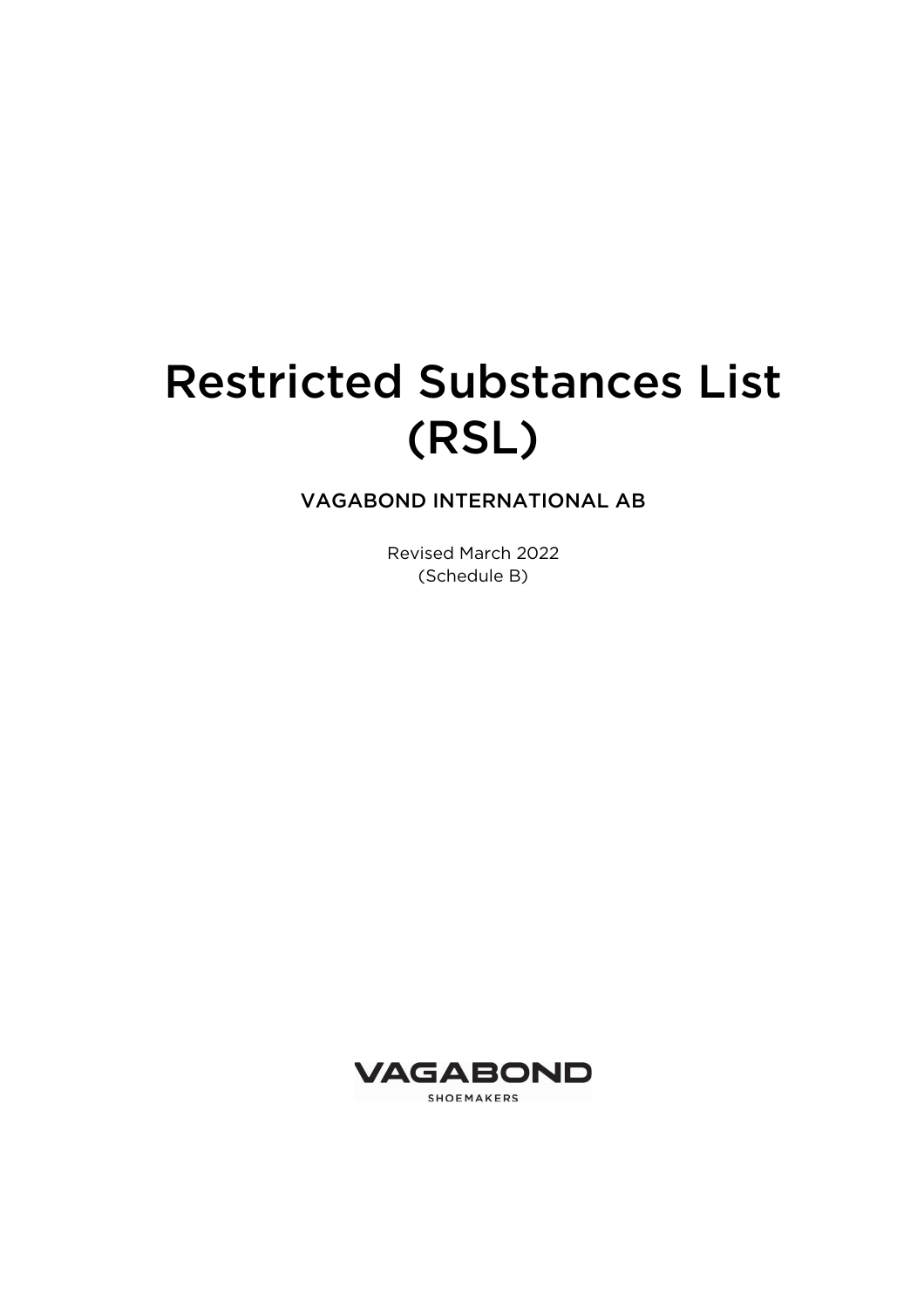# Restricted Substances List (RSL)

VAGABOND INTERNATIONAL AB

Revised March 2022 (Schedule B)

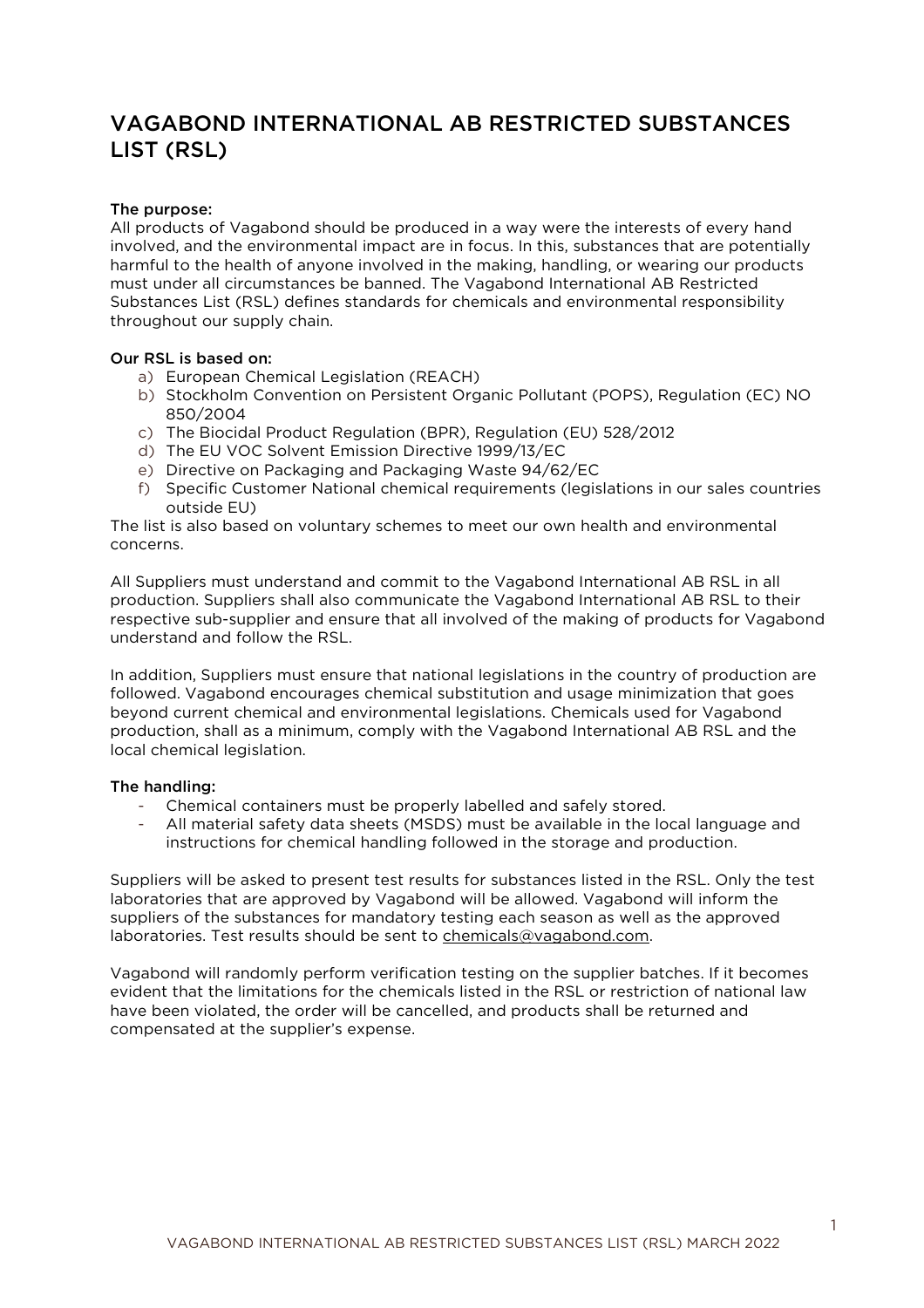## VAGABOND INTERNATIONAL AB RESTRICTED SUBSTANCES LIST (RSL)

#### The purpose:

All products of Vagabond should be produced in a way were the interests of every hand involved, and the environmental impact are in focus. In this, substances that are potentially harmful to the health of anyone involved in the making, handling, or wearing our products must under all circumstances be banned. The Vagabond International AB Restricted Substances List (RSL) defines standards for chemicals and environmental responsibility throughout our supply chain.

#### Our RSL is based on:

- a) European Chemical Legislation (REACH)
- b) Stockholm Convention on Persistent Organic Pollutant (POPS), Regulation (EC) NO 850/2004
- c) The Biocidal Product Regulation (BPR), Regulation (EU) 528/2012
- d) The EU VOC Solvent Emission Directive 1999/13/EC
- e) Directive on Packaging and Packaging Waste 94/62/EC
- f) Specific Customer National chemical requirements (legislations in our sales countries outside EU)

The list is also based on voluntary schemes to meet our own health and environmental concerns.

All Suppliers must understand and commit to the Vagabond International AB RSL in all production. Suppliers shall also communicate the Vagabond International AB RSL to their respective sub-supplier and ensure that all involved of the making of products for Vagabond understand and follow the RSL.

In addition, Suppliers must ensure that national legislations in the country of production are followed. Vagabond encourages chemical substitution and usage minimization that goes beyond current chemical and environmental legislations. Chemicals used for Vagabond production, shall as a minimum, comply with the Vagabond International AB RSL and the local chemical legislation.

#### The handling:

- Chemical containers must be properly labelled and safely stored.
- All material safety data sheets (MSDS) must be available in the local language and instructions for chemical handling followed in the storage and production.

Suppliers will be asked to present test results for substances listed in the RSL. Only the test laboratories that are approved by Vagabond will be allowed. Vagabond will inform the suppliers of the substances for mandatory testing each season as well as the approved laboratories. Test results should be sent to chemicals@vagabond.com.

Vagabond will randomly perform verification testing on the supplier batches. If it becomes evident that the limitations for the chemicals listed in the RSL or restriction of national law have been violated, the order will be cancelled, and products shall be returned and compensated at the supplier's expense.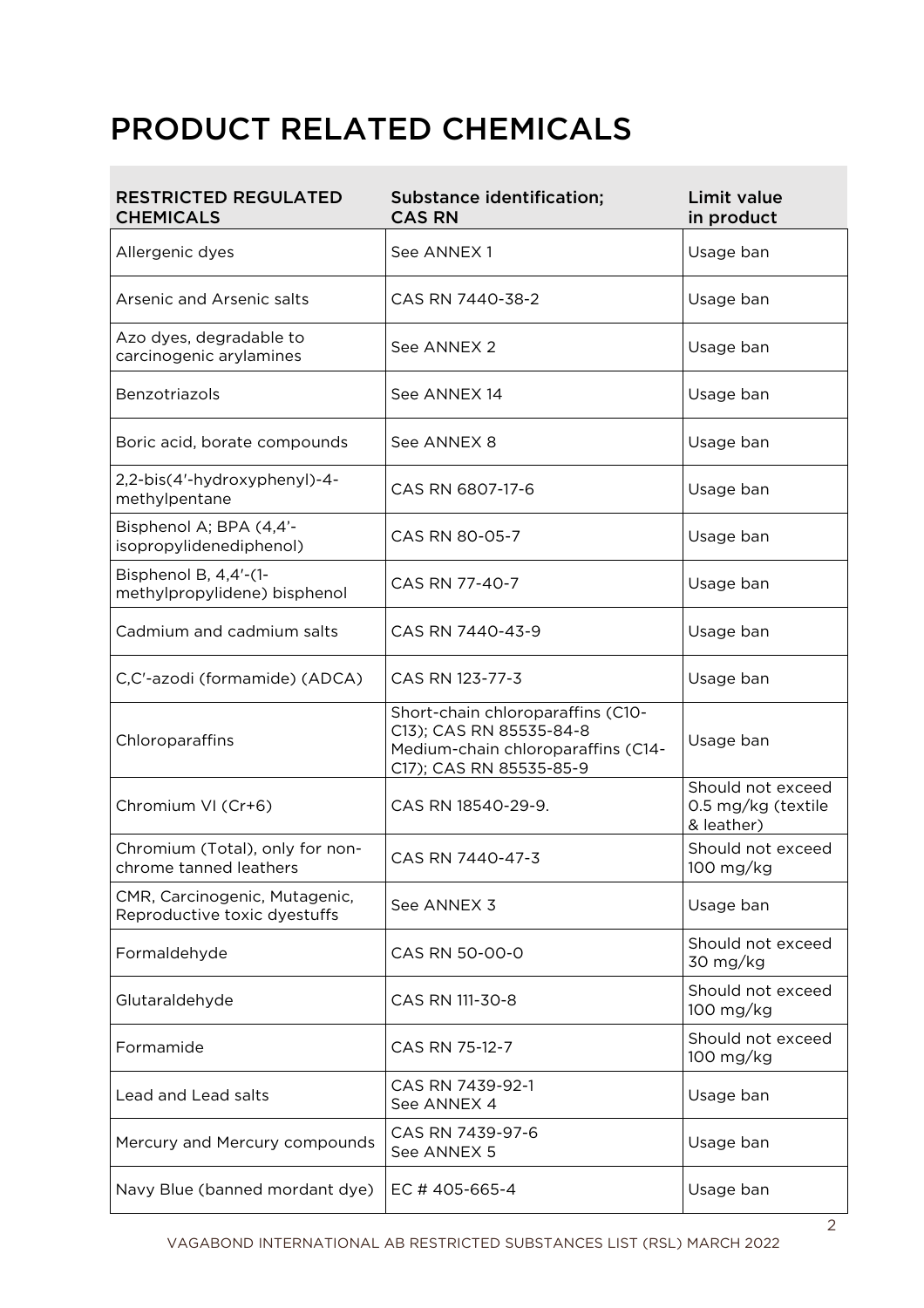# PRODUCT RELATED CHEMICALS

| <b>RESTRICTED REGULATED</b><br><b>CHEMICALS</b>               | <b>Substance identification;</b><br><b>CAS RN</b>                                                                             | Limit value<br>in product                             |
|---------------------------------------------------------------|-------------------------------------------------------------------------------------------------------------------------------|-------------------------------------------------------|
| Allergenic dyes                                               | See ANNEX 1                                                                                                                   | Usage ban                                             |
| Arsenic and Arsenic salts                                     | CAS RN 7440-38-2                                                                                                              | Usage ban                                             |
| Azo dyes, degradable to<br>carcinogenic arylamines            | See ANNEX 2                                                                                                                   | Usage ban                                             |
| Benzotriazols                                                 | See ANNEX 14                                                                                                                  | Usage ban                                             |
| Boric acid, borate compounds                                  | See ANNEX 8                                                                                                                   | Usage ban                                             |
| 2,2-bis(4'-hydroxyphenyl)-4-<br>methylpentane                 | CAS RN 6807-17-6                                                                                                              | Usage ban                                             |
| Bisphenol A; BPA (4,4'-<br>isopropylidenediphenol)            | CAS RN 80-05-7                                                                                                                | Usage ban                                             |
| Bisphenol B, 4,4'-(1-<br>methylpropylidene) bisphenol         | CAS RN 77-40-7                                                                                                                | Usage ban                                             |
| Cadmium and cadmium salts                                     | CAS RN 7440-43-9                                                                                                              | Usage ban                                             |
| C,C'-azodi (formamide) (ADCA)                                 | CAS RN 123-77-3                                                                                                               | Usage ban                                             |
| Chloroparaffins                                               | Short-chain chloroparaffins (C10-<br>C13); CAS RN 85535-84-8<br>Medium-chain chloroparaffins (C14-<br>C17); CAS RN 85535-85-9 | Usage ban                                             |
| Chromium VI (Cr+6)                                            | CAS RN 18540-29-9.                                                                                                            | Should not exceed<br>0.5 mg/kg (textile<br>& leather) |
| Chromium (Total), only for non-<br>chrome tanned leathers     | CAS RN 7440-47-3                                                                                                              | Should not exceed<br>100 mg/kg                        |
| CMR, Carcinogenic, Mutagenic,<br>Reproductive toxic dyestuffs | See ANNEX 3                                                                                                                   | Usage ban                                             |
| Formaldehyde                                                  | CAS RN 50-00-0                                                                                                                | Should not exceed<br>30 mg/kg                         |
| Glutaraldehyde                                                | CAS RN 111-30-8                                                                                                               | Should not exceed<br>100 mg/kg                        |
| Formamide                                                     | CAS RN 75-12-7                                                                                                                | Should not exceed<br>100 mg/kg                        |
| Lead and Lead salts                                           | CAS RN 7439-92-1<br>See ANNEX 4                                                                                               | Usage ban                                             |
| Mercury and Mercury compounds                                 | CAS RN 7439-97-6<br>See ANNEX 5                                                                                               | Usage ban                                             |
| Navy Blue (banned mordant dye)                                | EC # 405-665-4                                                                                                                | Usage ban                                             |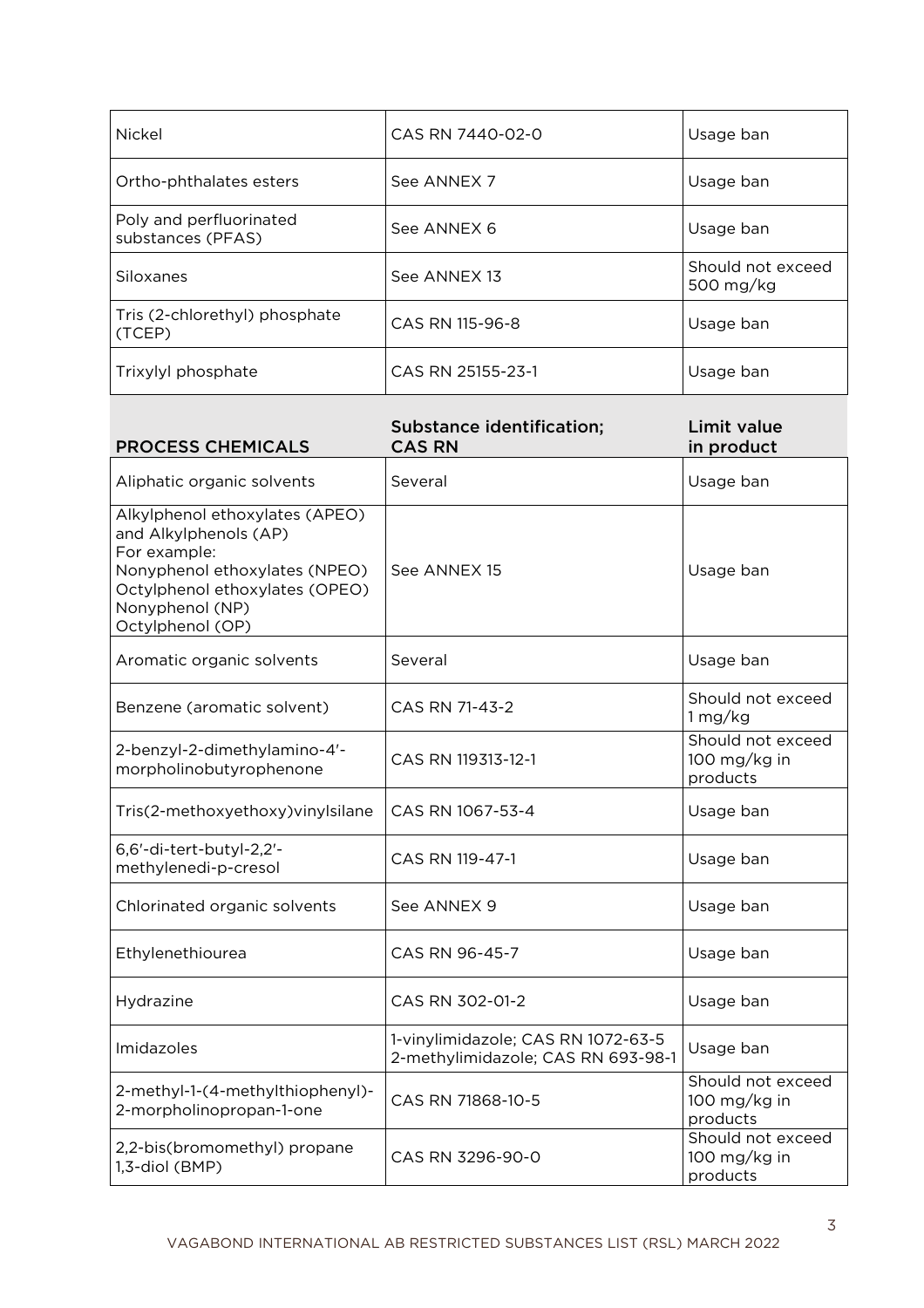| Nickel                                       | CAS RN 7440-02-0  | Usage ban                      |
|----------------------------------------------|-------------------|--------------------------------|
| Ortho-phthalates esters                      | See ANNEX 7       | Usage ban                      |
| Poly and perfluorinated<br>substances (PFAS) | See ANNEX 6       | Usage ban                      |
| Siloxanes                                    | See ANNEX 13      | Should not exceed<br>500 mg/kg |
| Tris (2-chlorethyl) phosphate<br>(TCEP)      | CAS RN 115-96-8   | Usage ban                      |
| Trixylyl phosphate                           | CAS RN 25155-23-1 | Usage ban                      |

| <b>PROCESS CHEMICALS</b>                                                                                                                                                          | Substance identification;<br><b>CAS RN</b>                               | <b>Limit value</b><br>in product              |
|-----------------------------------------------------------------------------------------------------------------------------------------------------------------------------------|--------------------------------------------------------------------------|-----------------------------------------------|
| Aliphatic organic solvents                                                                                                                                                        | Several                                                                  | Usage ban                                     |
| Alkylphenol ethoxylates (APEO)<br>and Alkylphenols (AP)<br>For example:<br>Nonyphenol ethoxylates (NPEO)<br>Octylphenol ethoxylates (OPEO)<br>Nonyphenol (NP)<br>Octylphenol (OP) | See ANNEX 15                                                             | Usage ban                                     |
| Aromatic organic solvents                                                                                                                                                         | Several                                                                  | Usage ban                                     |
| Benzene (aromatic solvent)                                                                                                                                                        | CAS RN 71-43-2                                                           | Should not exceed<br>1 mg/kg                  |
| 2-benzyl-2-dimethylamino-4'-<br>morpholinobutyrophenone                                                                                                                           | CAS RN 119313-12-1                                                       | Should not exceed<br>100 mg/kg in<br>products |
| Tris(2-methoxyethoxy) vinyl silane                                                                                                                                                | CAS RN 1067-53-4                                                         | Usage ban                                     |
| 6,6'-di-tert-butyl-2,2'-<br>methylenedi-p-cresol                                                                                                                                  | CAS RN 119-47-1                                                          | Usage ban                                     |
| Chlorinated organic solvents                                                                                                                                                      | See ANNEX 9                                                              | Usage ban                                     |
| Ethylenethiourea                                                                                                                                                                  | CAS RN 96-45-7                                                           | Usage ban                                     |
| Hydrazine                                                                                                                                                                         | CAS RN 302-01-2                                                          | Usage ban                                     |
| Imidazoles                                                                                                                                                                        | 1-vinylimidazole; CAS RN 1072-63-5<br>2-methylimidazole; CAS RN 693-98-1 | Usage ban                                     |
| 2-methyl-1-(4-methylthiophenyl)-<br>2-morpholinopropan-1-one                                                                                                                      | CAS RN 71868-10-5                                                        | Should not exceed<br>100 mg/kg in<br>products |
| 2,2-bis(bromomethyl) propane<br>1,3-diol (BMP)                                                                                                                                    | CAS RN 3296-90-0                                                         | Should not exceed<br>100 mg/kg in<br>products |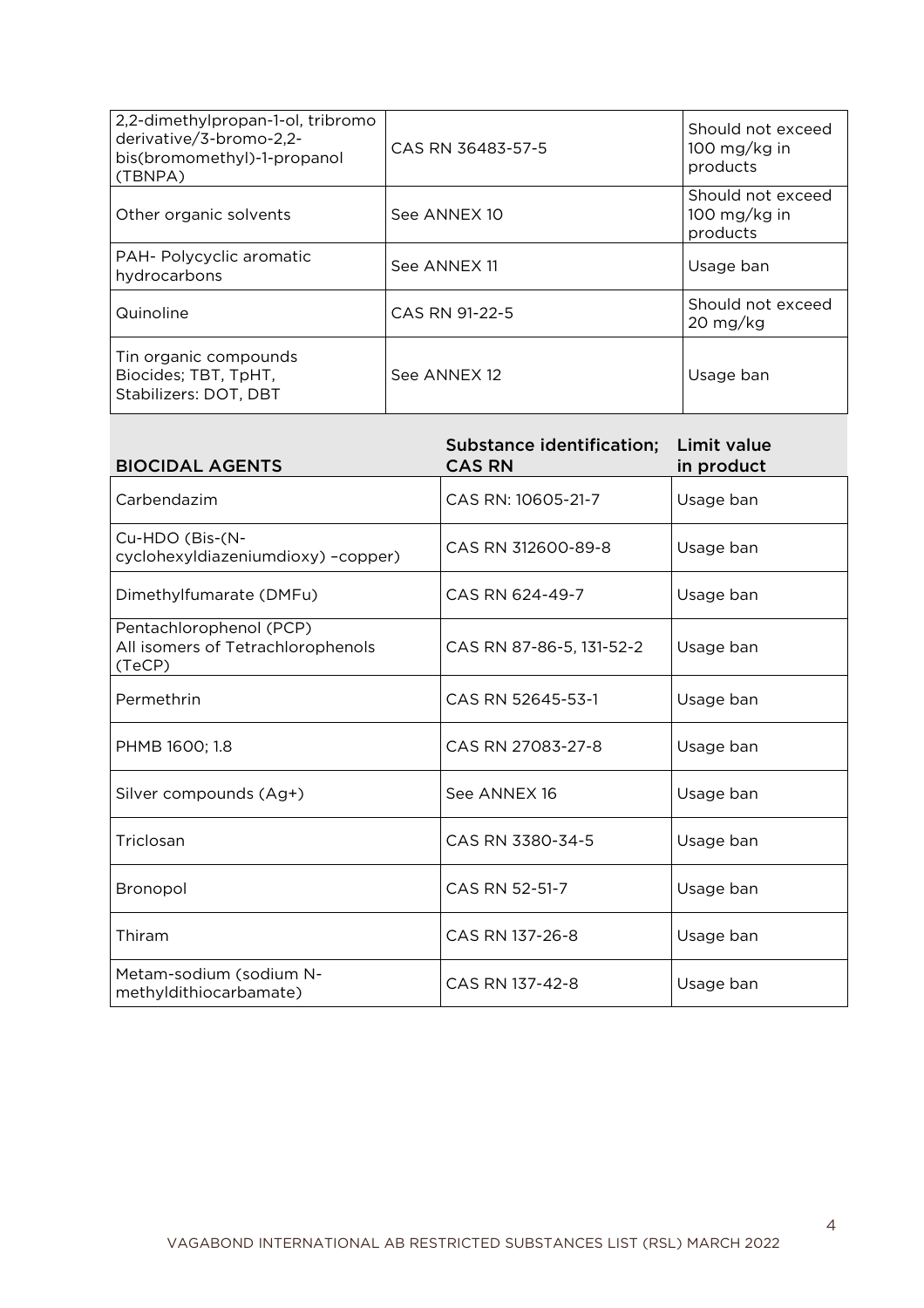| 2,2-dimethylpropan-1-ol, tribromo<br>derivative/3-bromo-2,2-<br>bis(bromomethyl)-1-propanol<br>(TBNPA) | CAS RN 36483-57-5 | Should not exceed<br>100 mg/kg in<br>products         |
|--------------------------------------------------------------------------------------------------------|-------------------|-------------------------------------------------------|
| Other organic solvents                                                                                 | See ANNEX 10      | Should not exceed<br>100 mg/kg in<br>products         |
| PAH-Polycyclic aromatic<br>hydrocarbons                                                                | See ANNEX 11      | Usage ban                                             |
| Quinoline                                                                                              | CAS RN 91-22-5    | Should not exceed<br>$20 \frac{\text{mg}}{\text{kg}}$ |
| Tin organic compounds<br>Biocides; TBT, TpHT,<br>Stabilizers: DOT, DBT                                 | See ANNEX 12      | Usage ban                                             |

| <b>BIOCIDAL AGENTS</b>                                                 | Substance identification;<br><b>CAS RN</b> | Limit value<br>in product |
|------------------------------------------------------------------------|--------------------------------------------|---------------------------|
| Carbendazim                                                            | CAS RN: 10605-21-7                         | Usage ban                 |
| Cu-HDO (Bis-(N-<br>cyclohexyldiazeniumdioxy) -copper)                  | CAS RN 312600-89-8                         | Usage ban                 |
| Dimethylfumarate (DMFu)                                                | CAS RN 624-49-7                            | Usage ban                 |
| Pentachlorophenol (PCP)<br>All isomers of Tetrachlorophenols<br>(TeCP) | CAS RN 87-86-5, 131-52-2                   | Usage ban                 |
| Permethrin                                                             | CAS RN 52645-53-1                          | Usage ban                 |
| PHMB 1600; 1.8                                                         | CAS RN 27083-27-8                          | Usage ban                 |
| Silver compounds (Ag+)                                                 | See ANNEX 16                               | Usage ban                 |
| Triclosan                                                              | CAS RN 3380-34-5                           | Usage ban                 |
| Bronopol                                                               | CAS RN 52-51-7                             | Usage ban                 |
| Thiram                                                                 | CAS RN 137-26-8                            | Usage ban                 |
| Metam-sodium (sodium N-<br>methyldithiocarbamate)                      | CAS RN 137-42-8                            | Usage ban                 |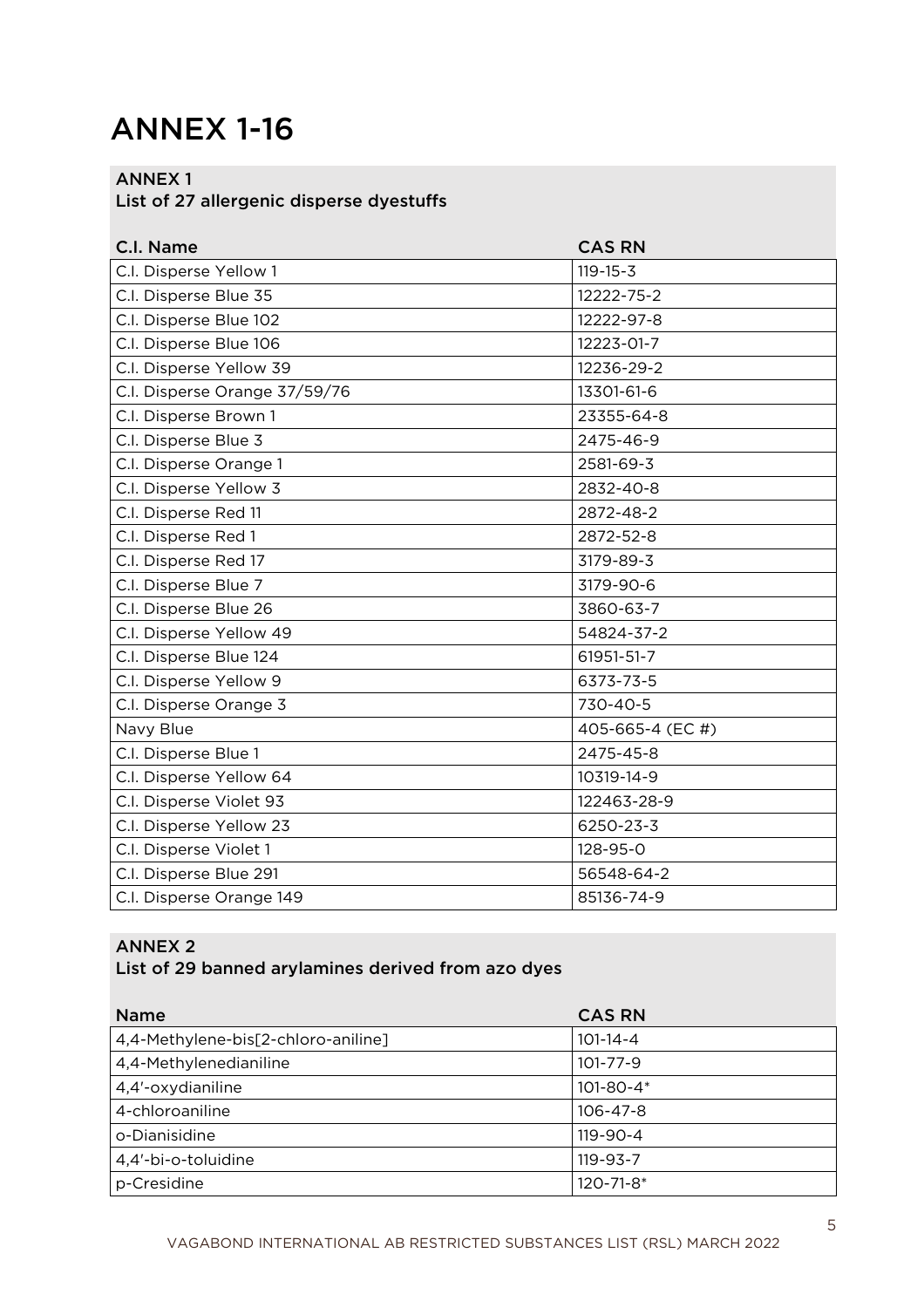# ANNEX 1-16

#### ANNEX 1

#### List of 27 allergenic disperse dyestuffs

| C.I. Name                     | <b>CAS RN</b>   |
|-------------------------------|-----------------|
| C.I. Disperse Yellow 1        | $119 - 15 - 3$  |
| C.I. Disperse Blue 35         | 12222-75-2      |
| C.I. Disperse Blue 102        | 12222-97-8      |
| C.I. Disperse Blue 106        | 12223-01-7      |
| C.I. Disperse Yellow 39       | 12236-29-2      |
| C.I. Disperse Orange 37/59/76 | 13301-61-6      |
| C.I. Disperse Brown 1         | 23355-64-8      |
| C.I. Disperse Blue 3          | 2475-46-9       |
| C.I. Disperse Orange 1        | 2581-69-3       |
| C.I. Disperse Yellow 3        | 2832-40-8       |
| C.I. Disperse Red 11          | 2872-48-2       |
| C.I. Disperse Red 1           | 2872-52-8       |
| C.I. Disperse Red 17          | 3179-89-3       |
| C.I. Disperse Blue 7          | 3179-90-6       |
| C.I. Disperse Blue 26         | 3860-63-7       |
| C.I. Disperse Yellow 49       | 54824-37-2      |
| C.I. Disperse Blue 124        | 61951-51-7      |
| C.I. Disperse Yellow 9        | 6373-73-5       |
| C.I. Disperse Orange 3        | 730-40-5        |
| Navy Blue                     | 405-665-4 (EC#) |
| C.I. Disperse Blue 1          | 2475-45-8       |
| C.I. Disperse Yellow 64       | 10319-14-9      |
| C.I. Disperse Violet 93       | 122463-28-9     |
| C.I. Disperse Yellow 23       | 6250-23-3       |
| C.I. Disperse Violet 1        | 128-95-0        |
| C.I. Disperse Blue 291        | 56548-64-2      |
| C.I. Disperse Orange 149      | 85136-74-9      |

#### ANNEX 2

### List of 29 banned arylamines derived from azo dyes

| <b>Name</b>                         | <b>CAS RN</b>   |
|-------------------------------------|-----------------|
| 4,4-Methylene-bis[2-chloro-aniline] | $101 - 14 - 4$  |
| 4,4-Methylenedianiline              | $101 - 77 - 9$  |
| 4,4'-oxydianiline                   | $101 - 80 - 4*$ |
| 4-chloroaniline                     | $106 - 47 - 8$  |
| o-Dianisidine                       | $119 - 90 - 4$  |
| 4,4'-bi-o-toluidine                 | $119 - 93 - 7$  |
| p-Cresidine                         | $120 - 71 - 8*$ |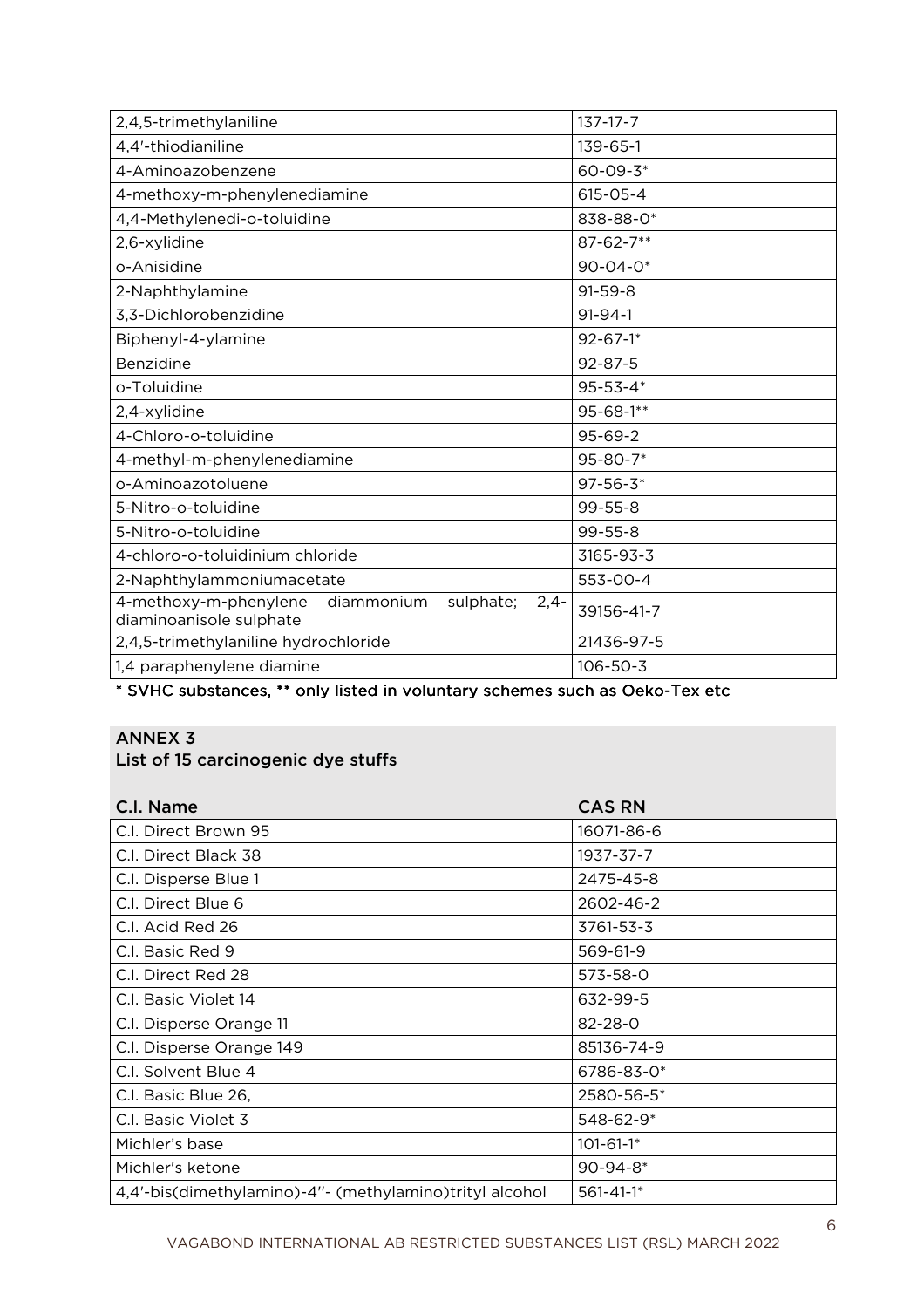| 2,4,5-trimethylaniline                                                                | $137 - 17 - 7$  |
|---------------------------------------------------------------------------------------|-----------------|
| 4,4'-thiodianiline                                                                    | 139-65-1        |
| 4-Aminoazobenzene                                                                     | $60 - 09 - 3*$  |
| 4-methoxy-m-phenylenediamine                                                          | 615-05-4        |
| 4,4-Methylenedi-o-toluidine                                                           | 838-88-0*       |
| 2,6-xylidine                                                                          | $87 - 62 - 7**$ |
| o-Anisidine                                                                           | $90 - 04 - 0*$  |
| 2-Naphthylamine                                                                       | $91 - 59 - 8$   |
| 3,3-Dichlorobenzidine                                                                 | $91 - 94 - 1$   |
| Biphenyl-4-ylamine                                                                    | $92 - 67 - 1*$  |
| Benzidine                                                                             | $92 - 87 - 5$   |
| o-Toluidine                                                                           | $95 - 53 - 4*$  |
| 2,4-xylidine                                                                          | $95 - 68 - 1**$ |
| 4-Chloro-o-toluidine                                                                  | $95 - 69 - 2$   |
| 4-methyl-m-phenylenediamine                                                           | 95-80-7*        |
| o-Aminoazotoluene                                                                     | $97 - 56 - 3*$  |
| 5-Nitro-o-toluidine                                                                   | 99-55-8         |
| 5-Nitro-o-toluidine                                                                   | $99 - 55 - 8$   |
| 4-chloro-o-toluidinium chloride                                                       | 3165-93-3       |
| 2-Naphthylammoniumacetate                                                             | 553-00-4        |
| 4-methoxy-m-phenylene<br>diammonium<br>sulphate;<br>$2,4-$<br>diaminoanisole sulphate | 39156-41-7      |
| 2,4,5-trimethylaniline hydrochloride                                                  | 21436-97-5      |
| 1,4 paraphenylene diamine                                                             | $106 - 50 - 3$  |
|                                                                                       |                 |

\* SVHC substances, \*\* only listed in voluntary schemes such as Oeko-Tex etc

#### ANNEX 3

#### List of 15 carcinogenic dye stuffs

| C.I. Name                                               | <b>CAS RN</b>   |
|---------------------------------------------------------|-----------------|
| C.I. Direct Brown 95                                    | 16071-86-6      |
| C.I. Direct Black 38                                    | 1937-37-7       |
| C.I. Disperse Blue 1                                    | 2475-45-8       |
| C.I. Direct Blue 6                                      | 2602-46-2       |
| C.I. Acid Red 26                                        | 3761-53-3       |
| C.I. Basic Red 9                                        | 569-61-9        |
| C.I. Direct Red 28                                      | 573-58-0        |
| C.I. Basic Violet 14                                    | 632-99-5        |
| C.I. Disperse Orange 11                                 | 82-28-0         |
| C.I. Disperse Orange 149                                | 85136-74-9      |
| C.I. Solvent Blue 4                                     | 6786-83-0*      |
| C.I. Basic Blue 26,                                     | 2580-56-5*      |
| C.I. Basic Violet 3                                     | 548-62-9*       |
| Michler's base                                          | $101 - 61 - 1*$ |
| Michler's ketone                                        | $90 - 94 - 8*$  |
| 4,4'-bis(dimethylamino)-4"- (methylamino)trityl alcohol | $561 - 41 - 1*$ |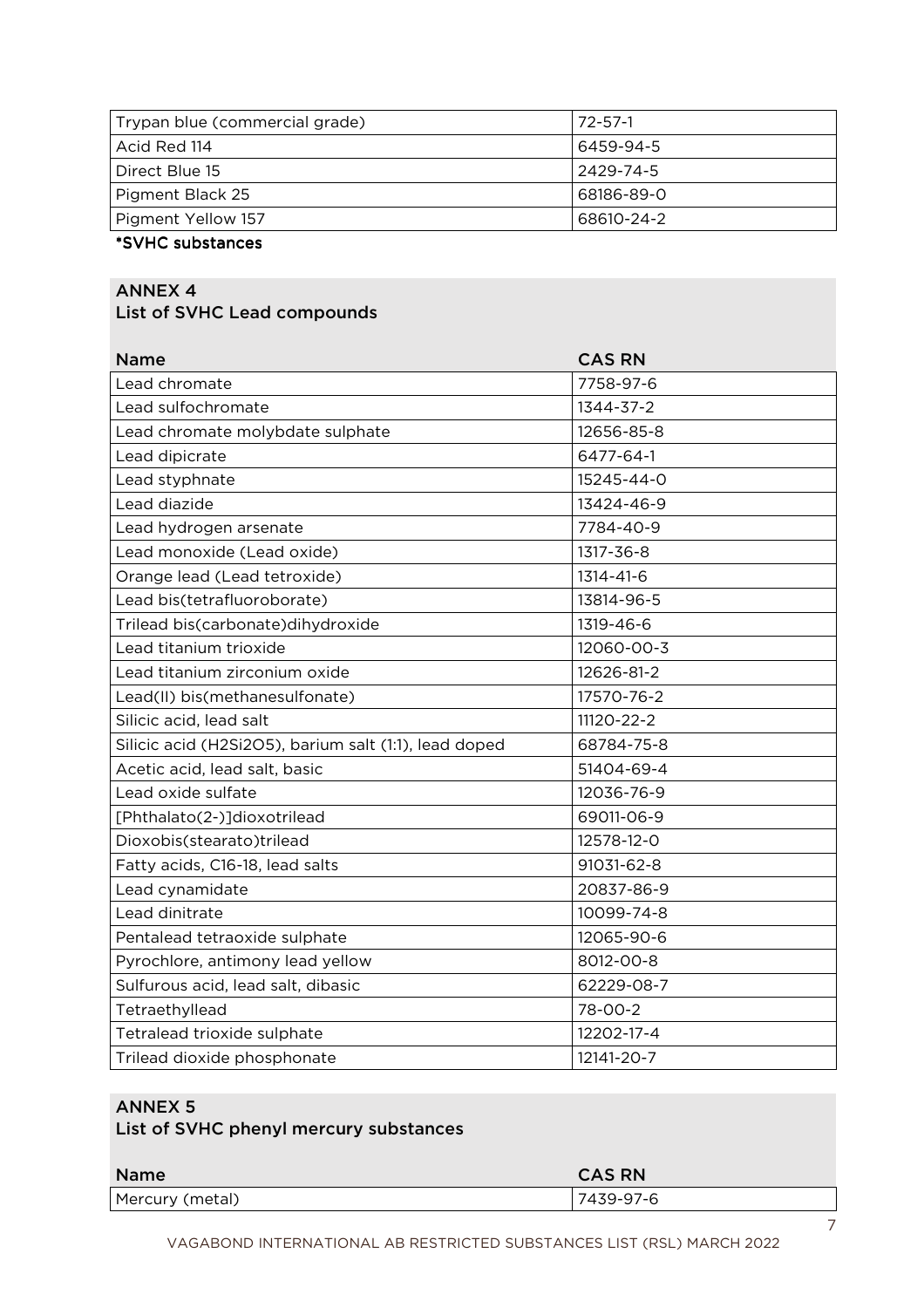| Trypan blue (commercial grade) | 72-57-1    |
|--------------------------------|------------|
| Acid Red 114                   | 6459-94-5  |
| Direct Blue 15                 | 2429-74-5  |
| Pigment Black 25               | 68186-89-0 |
| Pigment Yellow 157             | 68610-24-2 |

#### \*SVHC substances \*SVHC

#### ANNEX 4

#### List of SVHC Lead compounds

| <b>Name</b>                                           | <b>CAS RN</b> |
|-------------------------------------------------------|---------------|
| Lead chromate                                         | 7758-97-6     |
| Lead sulfochromate                                    | 1344-37-2     |
| Lead chromate molybdate sulphate                      | 12656-85-8    |
| Lead dipicrate                                        | 6477-64-1     |
| Lead styphnate                                        | 15245-44-0    |
| Lead diazide                                          | 13424-46-9    |
| Lead hydrogen arsenate                                | 7784-40-9     |
| Lead monoxide (Lead oxide)                            | 1317-36-8     |
| Orange lead (Lead tetroxide)                          | 1314-41-6     |
| Lead bis(tetrafluoroborate)                           | 13814-96-5    |
| Trilead bis(carbonate)dihydroxide                     | 1319-46-6     |
| Lead titanium trioxide                                | 12060-00-3    |
| Lead titanium zirconium oxide                         | 12626-81-2    |
| Lead(II) bis(methanesulfonate)                        | 17570-76-2    |
| Silicic acid, lead salt                               | 11120-22-2    |
| Silicic acid (H2Si2O5), barium salt (1:1), lead doped | 68784-75-8    |
| Acetic acid, lead salt, basic                         | 51404-69-4    |
| Lead oxide sulfate                                    | 12036-76-9    |
| [Phthalato(2-)]dioxotrilead                           | 69011-06-9    |
| Dioxobis(stearato)trilead                             | 12578-12-0    |
| Fatty acids, C16-18, lead salts                       | 91031-62-8    |
| Lead cynamidate                                       | 20837-86-9    |
| Lead dinitrate                                        | 10099-74-8    |
| Pentalead tetraoxide sulphate                         | 12065-90-6    |
| Pyrochlore, antimony lead yellow                      | 8012-00-8     |
| Sulfurous acid, lead salt, dibasic                    | 62229-08-7    |
| Tetraethyllead                                        | 78-00-2       |
| Tetralead trioxide sulphate                           | 12202-17-4    |
| Trilead dioxide phosphonate                           | 12141-20-7    |

#### ANNEX 5

#### List of SVHC phenyl mercury substances

| <b>Name</b>     | <b>CAS RN</b> |
|-----------------|---------------|
| Mercury (metal) | 7439-97-6     |

7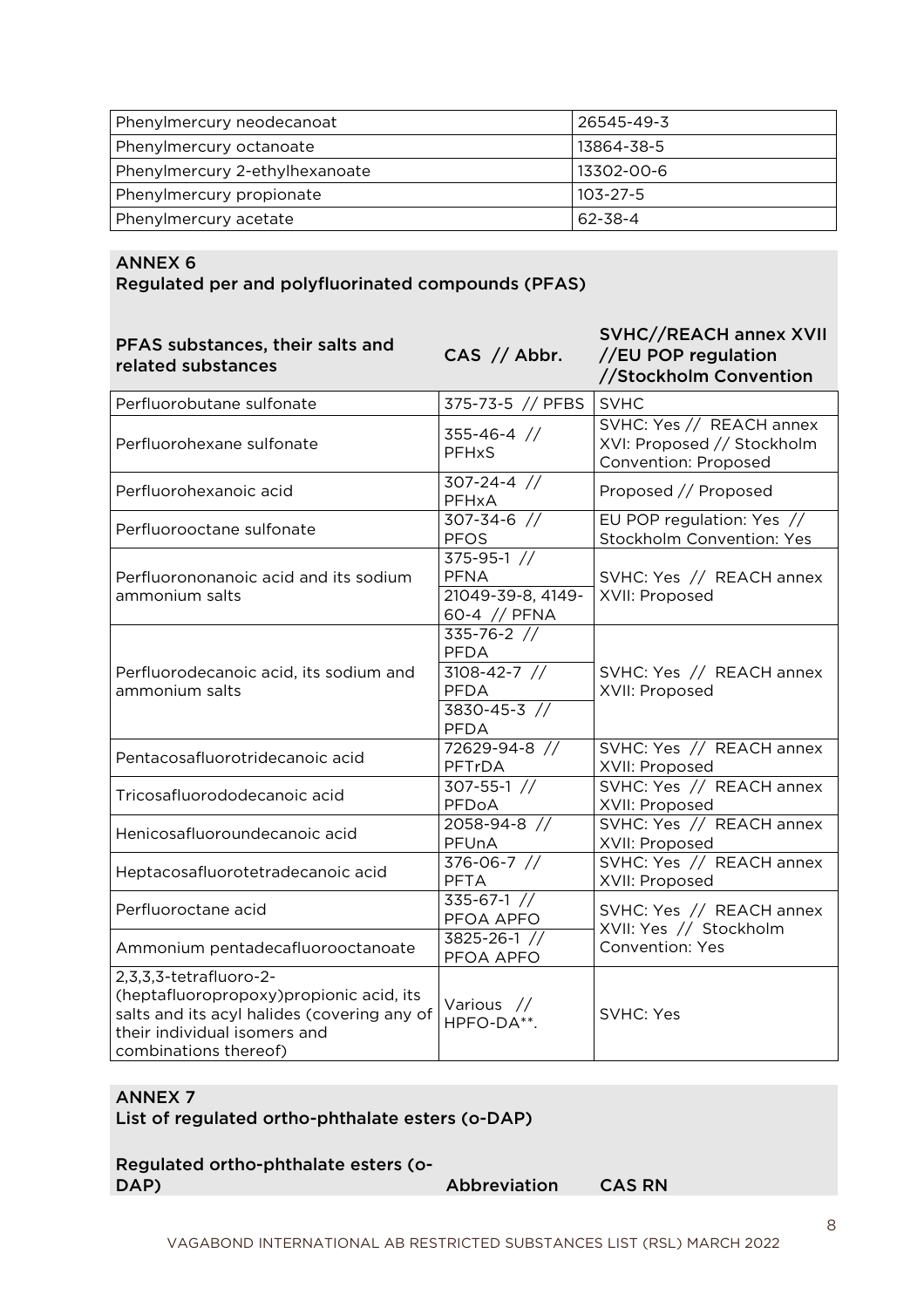| Phenylmercury neodecanoat      | 26545-49-3 |
|--------------------------------|------------|
| Phenylmercury octanoate        | 13864-38-5 |
| Phenylmercury 2-ethylhexanoate | 13302-00-6 |
| Phenylmercury propionate       | 103-27-5   |
| Phenylmercury acetate          | 62-38-4    |

#### Regulated per and polyfluorinated compounds (PFAS)

| PFAS substances, their salts and<br>related substances                                                                                                                    | CAS // Abbr.                                                                                         | SVHC//REACH annex XVII<br>//EU POP regulation<br>//Stockholm Convention        |
|---------------------------------------------------------------------------------------------------------------------------------------------------------------------------|------------------------------------------------------------------------------------------------------|--------------------------------------------------------------------------------|
| Perfluorobutane sulfonate                                                                                                                                                 | 375-73-5 // PFBS                                                                                     | <b>SVHC</b>                                                                    |
| Perfluorohexane sulfonate                                                                                                                                                 | $355 - 46 - 4$ //<br><b>PFHxS</b>                                                                    | SVHC: Yes // REACH annex<br>XVI: Proposed // Stockholm<br>Convention: Proposed |
| Perfluorohexanoic acid                                                                                                                                                    | $307 - 24 - 4$ //<br>PFHxA                                                                           | Proposed // Proposed                                                           |
| Perfluorooctane sulfonate                                                                                                                                                 | $307 - 34 - 6$ //<br><b>PFOS</b>                                                                     | EU POP regulation: Yes //<br>Stockholm Convention: Yes                         |
| Perfluorononanoic acid and its sodium<br>ammonium salts                                                                                                                   | 375-95-1 //<br><b>PFNA</b><br>21049-39-8, 4149-<br>60-4 // PFNA                                      | SVHC: Yes // REACH annex<br>XVII: Proposed                                     |
| Perfluorodecanoic acid, its sodium and<br>ammonium salts                                                                                                                  | $335 - 76 - 2$ //<br><b>PFDA</b><br>$3108 - 42 - 7$ //<br><b>PFDA</b><br>3830-45-3 //<br><b>PFDA</b> | SVHC: Yes // REACH annex<br>XVII: Proposed                                     |
| Pentacosafluorotridecanoic acid                                                                                                                                           | 72629-94-8 //<br>PFTrDA                                                                              | SVHC: Yes // REACH annex<br>XVII: Proposed                                     |
| Tricosafluorododecanoic acid                                                                                                                                              | $307 - 55 - 1$ //<br>PFDoA                                                                           | SVHC: Yes // REACH annex<br>XVII: Proposed                                     |
| Henicosafluoroundecanoic acid                                                                                                                                             | $2058 - 94 - 8$ //<br>PFUnA                                                                          | SVHC: Yes // REACH annex<br>XVII: Proposed                                     |
| Heptacosafluorotetradecanoic acid                                                                                                                                         | 376-06-7 //<br><b>PFTA</b>                                                                           | SVHC: Yes // REACH annex<br>XVII: Proposed                                     |
| Perfluoroctane acid                                                                                                                                                       | $335 - 67 - 1$ //<br>PFOA APFO                                                                       | SVHC: Yes // REACH annex<br>XVII: Yes // Stockholm                             |
| Ammonium pentadecafluorooctanoate                                                                                                                                         | 3825-26-1 //<br>PFOA APFO                                                                            | <b>Convention: Yes</b>                                                         |
| 2,3,3,3-tetrafluoro-2-<br>(heptafluoropropoxy)propionic acid, its<br>salts and its acyl halides (covering any of<br>their individual isomers and<br>combinations thereof) | Various //<br>HPFO-DA**.                                                                             | <b>SVHC: Yes</b>                                                               |

### ANNEX 7

#### List of regulated ortho-phthalate esters (o-DAP)

# Regulated ortho-phthalate esters (o-

Abbreviation CAS RN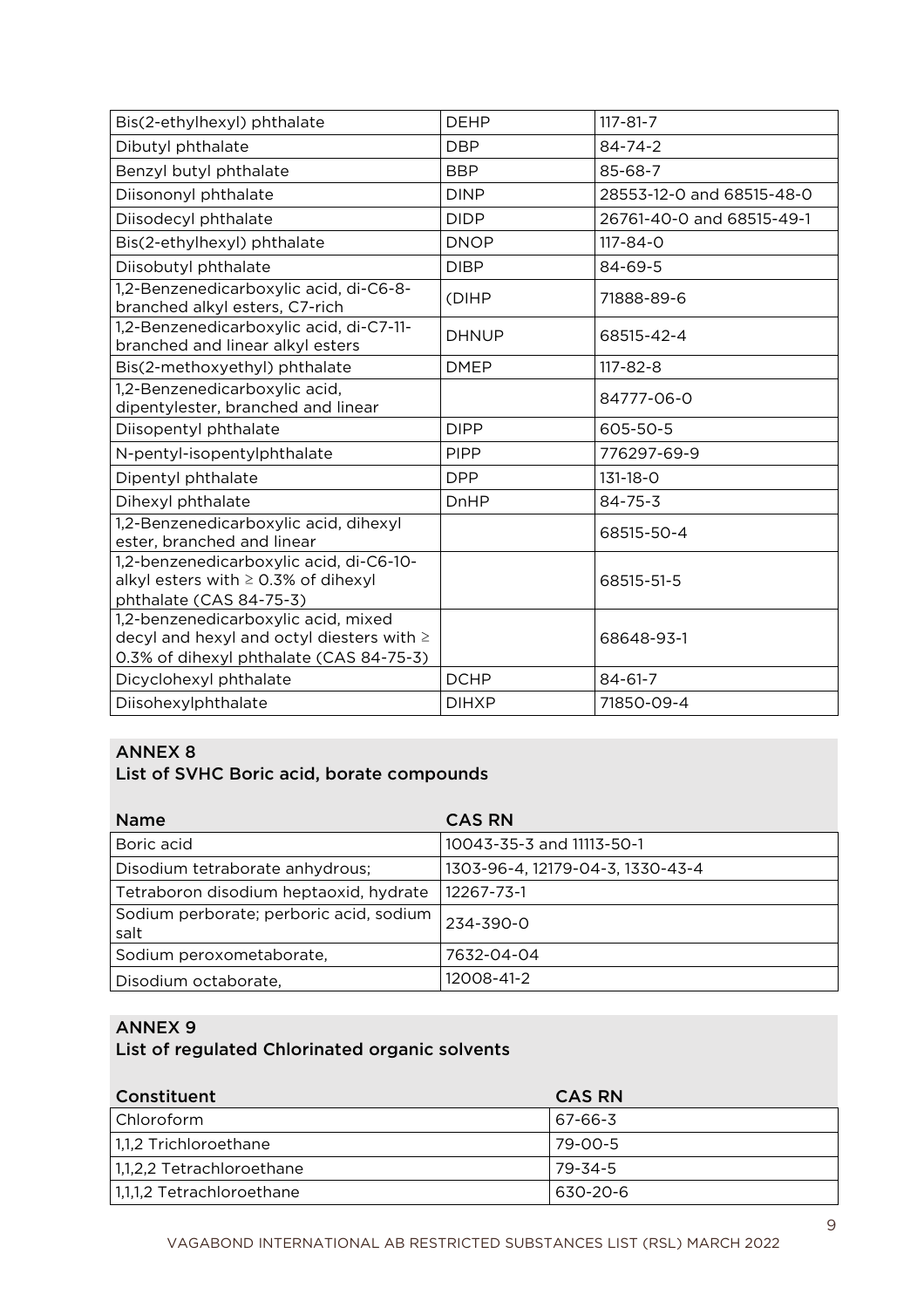| Bis(2-ethylhexyl) phthalate                                                                                                      | <b>DEHP</b>  | $117 - 81 - 7$            |
|----------------------------------------------------------------------------------------------------------------------------------|--------------|---------------------------|
| Dibutyl phthalate                                                                                                                | <b>DBP</b>   | 84-74-2                   |
| Benzyl butyl phthalate                                                                                                           | <b>BBP</b>   | 85-68-7                   |
| Diisononyl phthalate                                                                                                             | <b>DINP</b>  | 28553-12-0 and 68515-48-0 |
| Diisodecyl phthalate                                                                                                             | <b>DIDP</b>  | 26761-40-0 and 68515-49-1 |
| Bis(2-ethylhexyl) phthalate                                                                                                      | <b>DNOP</b>  | $117 - 84 - 0$            |
| Diisobutyl phthalate                                                                                                             | <b>DIBP</b>  | 84-69-5                   |
| 1,2-Benzenedicarboxylic acid, di-C6-8-<br>branched alkyl esters, C7-rich                                                         | (DIHP        | 71888-89-6                |
| 1,2-Benzenedicarboxylic acid, di-C7-11-<br>branched and linear alkyl esters                                                      | <b>DHNUP</b> | 68515-42-4                |
| Bis(2-methoxyethyl) phthalate                                                                                                    | <b>DMEP</b>  | $117 - 82 - 8$            |
| 1,2-Benzenedicarboxylic acid,<br>dipentylester, branched and linear                                                              |              | 84777-06-0                |
| Diisopentyl phthalate                                                                                                            | <b>DIPP</b>  | 605-50-5                  |
| N-pentyl-isopentylphthalate                                                                                                      | <b>PIPP</b>  | 776297-69-9               |
| Dipentyl phthalate                                                                                                               | <b>DPP</b>   | $131 - 18 - 0$            |
| Dihexyl phthalate                                                                                                                | DnHP         | $84 - 75 - 3$             |
| 1,2-Benzenedicarboxylic acid, dihexyl<br>ester, branched and linear                                                              |              | 68515-50-4                |
| 1,2-benzenedicarboxylic acid, di-C6-10-<br>alkyl esters with $\geq$ 0.3% of dihexyl<br>phthalate (CAS 84-75-3)                   |              | 68515-51-5                |
| 1,2-benzenedicarboxylic acid, mixed<br>decyl and hexyl and octyl diesters with $\geq$<br>0.3% of dihexyl phthalate (CAS 84-75-3) |              | 68648-93-1                |
| Dicyclohexyl phthalate                                                                                                           | <b>DCHP</b>  | $84 - 61 - 7$             |
| Diisohexylphthalate                                                                                                              | <b>DIHXP</b> | 71850-09-4                |

#### List of SVHC Boric acid, borate compounds

| <b>Name</b>                                     | <b>CAS RN</b>                    |
|-------------------------------------------------|----------------------------------|
| Boric acid                                      | 10043-35-3 and 11113-50-1        |
| Disodium tetraborate anhydrous;                 | 1303-96-4, 12179-04-3, 1330-43-4 |
| Tetraboron disodium heptaoxid, hydrate          | 12267-73-1                       |
| Sodium perborate; perboric acid, sodium<br>salt | 234-390-0                        |
| Sodium peroxometaborate,                        | 7632-04-04                       |
| Disodium octaborate,                            | 12008-41-2                       |

#### ANNEX 9

#### List of regulated Chlorinated organic solvents

| Constituent               | <b>CAS RN</b> |
|---------------------------|---------------|
| Chloroform                | 67-66-3       |
| 1,1,2 Trichloroethane     | 79-00-5       |
| 1,1,2,2 Tetrachloroethane | 79-34-5       |
| 1,1,1,2 Tetrachloroethane | 630-20-6      |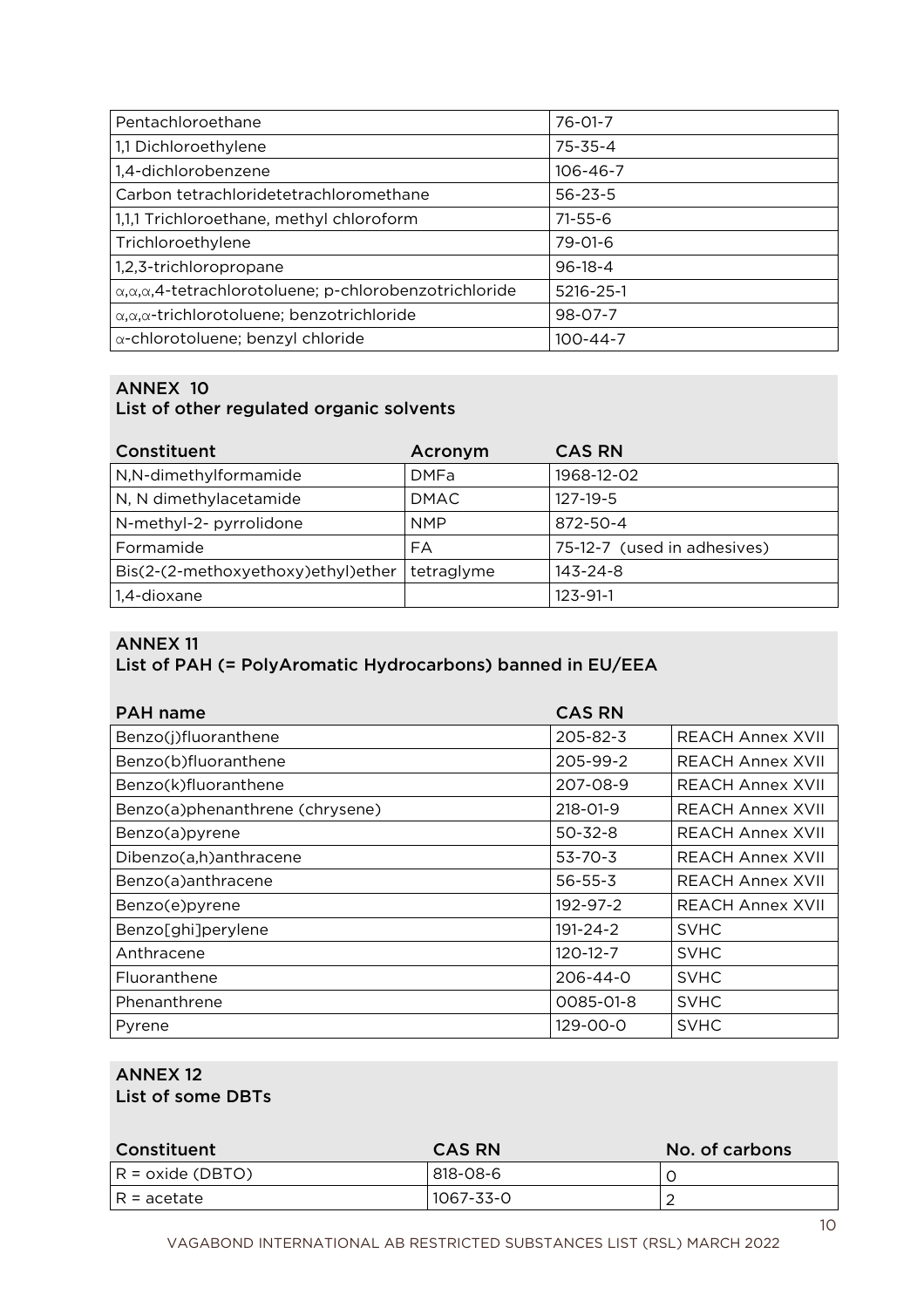| Pentachloroethane                                       | 76-01-7        |
|---------------------------------------------------------|----------------|
| 1,1 Dichloroethylene                                    | $75 - 35 - 4$  |
| 1,4-dichlorobenzene                                     | 106-46-7       |
| Carbon tetrachloridetetrachloromethane                  | $56 - 23 - 5$  |
| 1,1,1 Trichloroethane, methyl chloroform                | $71 - 55 - 6$  |
| Trichloroethylene                                       | 79-01-6        |
| 1,2,3-trichloropropane                                  | $96-18-4$      |
| α, α, α, 4-tetrachlorotoluene; p-chlorobenzotrichloride | 5216-25-1      |
| α, α, α-trichlorotoluene; benzotrichloride              | 98-07-7        |
| $\alpha$ -chlorotoluene; benzyl chloride                | $100 - 44 - 7$ |

### List of other regulated organic solvents

| Constituent                        | Acronym     | <b>CAS RN</b>               |
|------------------------------------|-------------|-----------------------------|
| N,N-dimethylformamide              | <b>DMFa</b> | 1968-12-02                  |
| N, N dimethylacetamide             | <b>DMAC</b> | $127 - 19 - 5$              |
| N-methyl-2- pyrrolidone            | <b>NMP</b>  | 872-50-4                    |
| Formamide                          | FA          | 75-12-7 (used in adhesives) |
| Bis(2-(2-methoxyethoxy)ethyl)ether | tetraglyme  | 143-24-8                    |
| 1,4-dioxane                        |             | $123 - 91 - 1$              |

#### ANNEX 11

### List of PAH (= PolyAromatic Hydrocarbons) banned in EU/EEA

| <b>PAH</b> name                 | <b>CAS RN</b>  |                         |
|---------------------------------|----------------|-------------------------|
| Benzo(j)fluoranthene            | 205-82-3       | <b>REACH Annex XVII</b> |
| Benzo(b)fluoranthene            | 205-99-2       | REACH Annex XVII        |
| Benzo(k)fluoranthene            | 207-08-9       | <b>REACH Annex XVII</b> |
| Benzo(a)phenanthrene (chrysene) | $218 - 01 - 9$ | <b>REACH Annex XVII</b> |
| Benzo(a)pyrene                  | $50 - 32 - 8$  | REACH Annex XVII        |
| Dibenzo(a,h)anthracene          | $53 - 70 - 3$  | REACH Annex XVII        |
| Benzo(a)anthracene              | $56 - 55 - 3$  | REACH Annex XVII        |
| Benzo(e)pyrene                  | 192-97-2       | REACH Annex XVII        |
| Benzo[ghi]perylene              | $191 - 24 - 2$ | <b>SVHC</b>             |
| Anthracene                      | $120 - 12 - 7$ | <b>SVHC</b>             |
| Fluoranthene                    | 206-44-0       | <b>SVHC</b>             |
| Phenanthrene                    | 0085-01-8      | <b>SVHC</b>             |
| Pyrene                          | 129-00-0       | <b>SVHC</b>             |

#### ANNEX 12

List of some DBTs

| Constituent         | <b>CAS RN</b> | No. of carbons |
|---------------------|---------------|----------------|
| $R = 0$ xide (DBTO) | 818-08-6      |                |
| $R =$ acetate       | 1067-33-0     |                |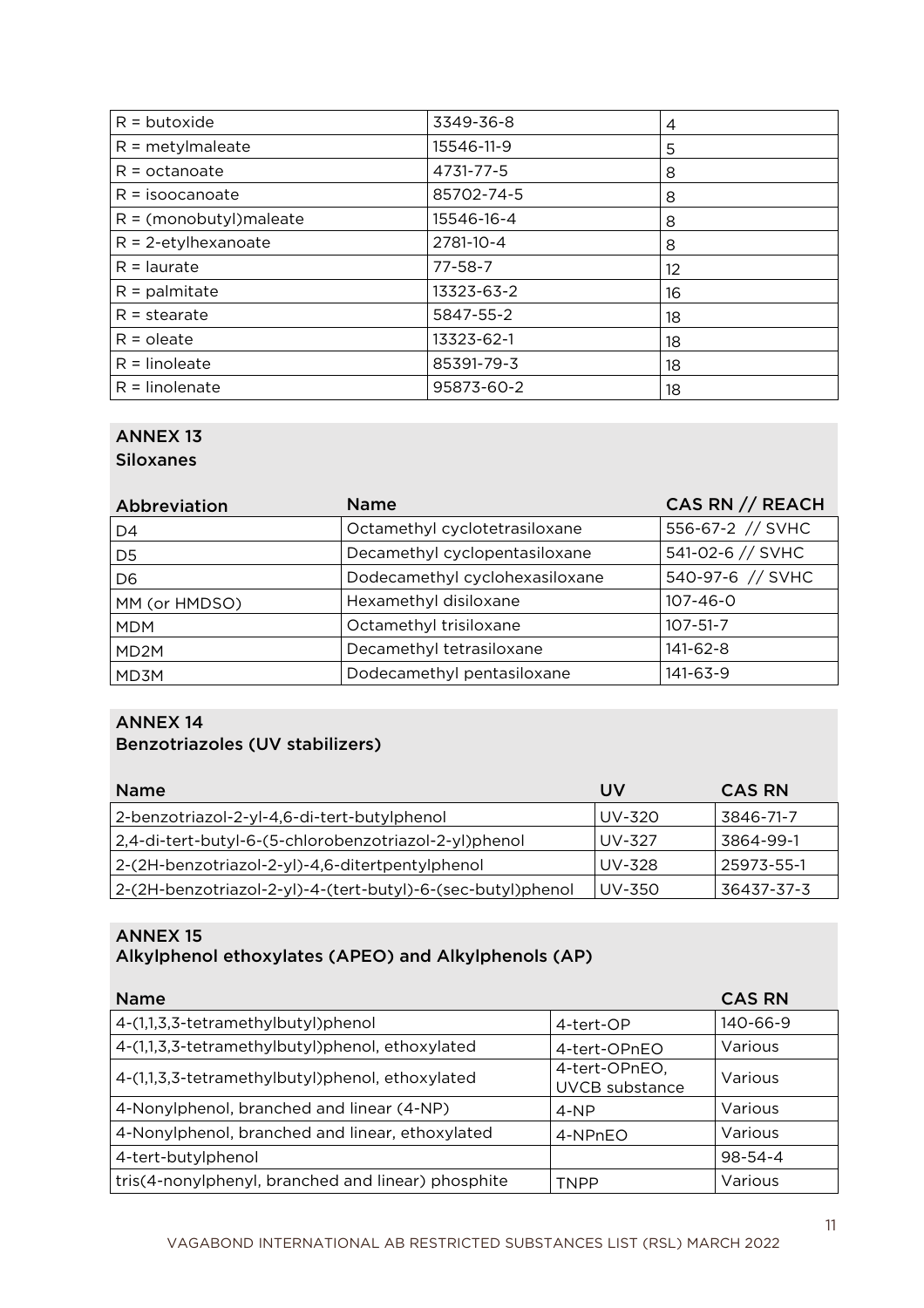| $R =$ butoxide            | 3349-36-8     | 4  |
|---------------------------|---------------|----|
| $R =$ metylmaleate        | 15546-11-9    | 5  |
| $R = octanoate$           | 4731-77-5     | 8  |
| $R = isoocanoate$         | 85702-74-5    | 8  |
| $R = (monobutyl)$ maleate | 15546-16-4    | 8  |
| $R = 2$ -etylhexanoate    | 2781-10-4     | 8  |
| $R =$ laurate             | $77 - 58 - 7$ | 12 |
| $R =$ palmitate           | 13323-63-2    | 16 |
| $R =$ stearate            | 5847-55-2     | 18 |
| $R =$ oleate              | 13323-62-1    | 18 |
| $R =$ linoleate           | 85391-79-3    | 18 |
| $R =$ linolenate          | 95873-60-2    | 18 |

Siloxanes

| Abbreviation      | Name                           | CAS RN // REACH  |
|-------------------|--------------------------------|------------------|
| D4                | Octamethyl cyclotetrasiloxane  | 556-67-2 // SVHC |
| D <sub>5</sub>    | Decamethyl cyclopentasiloxane  | 541-02-6 // SVHC |
| D <sub>6</sub>    | Dodecamethyl cyclohexasiloxane | 540-97-6 // SVHC |
| MM (or HMDSO)     | Hexamethyl disiloxane          | $107 - 46 - 0$   |
| <b>MDM</b>        | Octamethyl trisiloxane         | $107 - 51 - 7$   |
| MD <sub>2</sub> M | Decamethyl tetrasiloxane       | 141-62-8         |
| MD3M              | Dodecamethyl pentasiloxane     | 141-63-9         |

### ANNEX 14

#### Benzotriazoles (UV stabilizers)

| <b>Name</b>                                                 | UV     | <b>CAS RN</b> |
|-------------------------------------------------------------|--------|---------------|
| 2-benzotriazol-2-yl-4,6-di-tert-butylphenol                 | UV-320 | 3846-71-7     |
| 2,4-di-tert-butyl-6-(5-chlorobenzotriazol-2-yl)phenol       | UV-327 | 3864-99-1     |
| 2-(2H-benzotriazol-2-yl)-4,6-ditertpentylphenol             | UV-328 | 25973-55-1    |
| 2-(2H-benzotriazol-2-yl)-4-(tert-butyl)-6-(sec-butyl)phenol | UV-350 | 36437-37-3    |

#### ANNEX 15

### Alkylphenol ethoxylates (APEO) and Alkylphenols (AP)

| <b>Name</b>                                        |                                 | <b>CAS RN</b> |
|----------------------------------------------------|---------------------------------|---------------|
| 4-(1,1,3,3-tetramethylbutyl)phenol                 | 4-tert-OP                       | 140-66-9      |
| 4-(1,1,3,3-tetramethylbutyl)phenol, ethoxylated    | 4-tert-OPnEO                    | Various       |
| 4-(1,1,3,3-tetramethylbutyl)phenol, ethoxylated    | 4-tert-OPnEO,<br>UVCB substance | Various       |
| 4-Nonylphenol, branched and linear (4-NP)          | $4-NP$                          | Various       |
| 4-Nonylphenol, branched and linear, ethoxylated    | 4-NPnEO                         | Various       |
| 4-tert-butylphenol                                 |                                 | $98 - 54 - 4$ |
| tris(4-nonylphenyl, branched and linear) phosphite | TNPP                            | Various       |